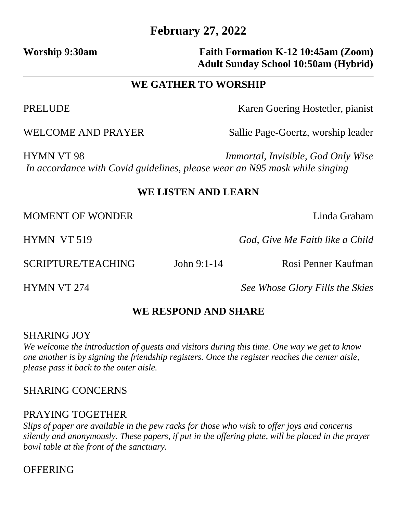# **February 27, 2022**

# Worship 9:30am **Faith Formation K-12 10:45am (Zoom) Adult Sunday School 10:50am (Hybrid)**

# **WE GATHER TO WORSHIP**

PRELUDE Karen Goering Hostetler, pianist

WELCOME AND PRAYER Sallie Page-Goertz, worship leader

HYMN VT 98 *Immortal, Invisible, God Only Wise In accordance with Covid guidelines, please wear an N95 mask while singing*

# **WE LISTEN AND LEARN**

MOMENT OF WONDER Linda Graham

HYMN VT 519 *God, Give Me Faith like a Child*

HYMN VT 274 *See Whose Glory Fills the Skies*

# **WE RESPOND AND SHARE**

## SHARING JOY

*We welcome the introduction of guests and visitors during this time. One way we get to know one another is by signing the friendship registers. Once the register reaches the center aisle, please pass it back to the outer aisle.*

# SHARING CONCERNS

## PRAYING TOGETHER

*Slips of paper are available in the pew racks for those who wish to offer joys and concerns silently and anonymously. These papers, if put in the offering plate, will be placed in the prayer bowl table at the front of the sanctuary.* 

# **OFFERING**

SCRIPTURE/TEACHING John 9:1-14 Rosi Penner Kaufman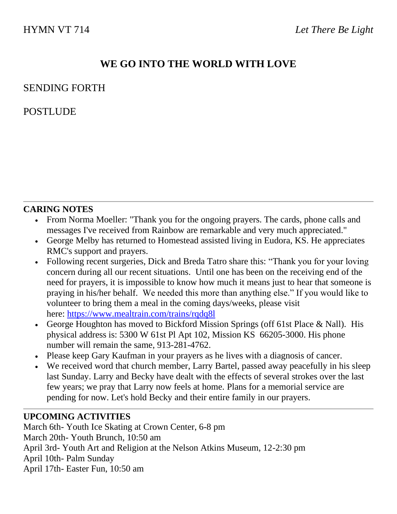# **WE GO INTO THE WORLD WITH LOVE**

## SENDING FORTH

# POSTLUDE

#### **CARING NOTES**

- From Norma Moeller: "Thank you for the ongoing prayers. The cards, phone calls and messages I've received from Rainbow are remarkable and very much appreciated."
- George Melby has returned to Homestead assisted living in Eudora, KS. He appreciates RMC's support and prayers.
- Following recent surgeries, Dick and Breda Tatro share this: "Thank you for your loving concern during all our recent situations. Until one has been on the receiving end of the need for prayers, it is impossible to know how much it means just to hear that someone is praying in his/her behalf. We needed this more than anything else." If you would like to volunteer to bring them a meal in the coming days/weeks, please visit here: [https://www.mealtrain.com/trains/rqdq8l](https://rainbowmennonite.us7.list-manage.com/track/click?u=bbdfa70cc1049eb202968fd4c&id=fff3725b13&e=685e0d9f1e)
- George Houghton has moved to Bickford Mission Springs (off 61st Place & Nall). His physical address is: 5300 W 61st Pl Apt 102, Mission KS 66205-3000. His phone number will remain the same, 913-281-4762.
- Please keep Gary Kaufman in your prayers as he lives with a diagnosis of cancer.
- We received word that church member, Larry Bartel, passed away peacefully in his sleep last Sunday. Larry and Becky have dealt with the effects of several strokes over the last few years; we pray that Larry now feels at home. Plans for a memorial service are pending for now. Let's hold Becky and their entire family in our prayers.

## **UPCOMING ACTIVITIES**

March 6th- Youth Ice Skating at Crown Center, 6-8 pm March 20th- Youth Brunch, 10:50 am April 3rd- Youth Art and Religion at the Nelson Atkins Museum, 12-2:30 pm April 10th- Palm Sunday April 17th- Easter Fun, 10:50 am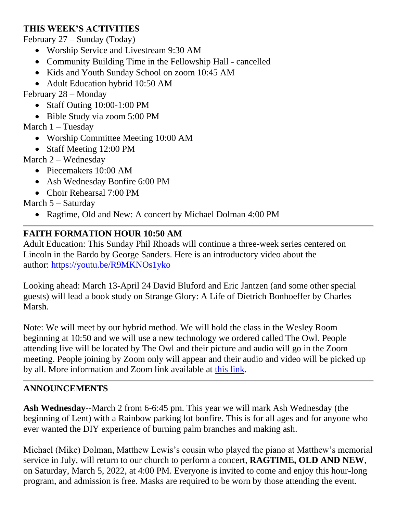## **THIS WEEK'S ACTIVITIES**

February 27 – Sunday (Today)

- Worship Service and Livestream 9:30 AM
- Community Building Time in the Fellowship Hall cancelled
- Kids and Youth Sunday School on zoom 10:45 AM
- Adult Education hybrid 10:50 AM

February 28 – Monday

- Staff Outing 10:00-1:00 PM
- Bible Study via zoom 5:00 PM

March  $1 -$ Tuesday

- Worship Committee Meeting 10:00 AM
- Staff Meeting 12:00 PM

March 2 – Wednesday

- Piecemakers 10:00 AM
- Ash Wednesday Bonfire 6:00 PM
- Choir Rehearsal 7:00 PM

March 5 – Saturday

• Ragtime, Old and New: A concert by Michael Dolman 4:00 PM

## **FAITH FORMATION HOUR 10:50 AM**

Adult Education: This Sunday Phil Rhoads will continue a three-week series centered on Lincoln in the Bardo by George Sanders. Here is an introductory video about the author: [https://youtu.be/R9MKNOs1yko](https://rainbowmennonite.us7.list-manage.com/track/click?u=bbdfa70cc1049eb202968fd4c&id=f1ddeaf4a2&e=685e0d9f1e)

Looking ahead: March 13-April 24 David Bluford and Eric Jantzen (and some other special guests) will lead a book study on Strange Glory: A Life of Dietrich Bonhoeffer by Charles Marsh.

Note: We will meet by our hybrid method. We will hold the class in the Wesley Room beginning at 10:50 and we will use a new technology we ordered called The Owl. People attending live will be located by The Owl and their picture and audio will go in the Zoom meeting. People joining by Zoom only will appear and their audio and video will be picked up by all. More information and Zoom link available at [this link.](https://rainbowmennonite.us7.list-manage.com/track/click?u=bbdfa70cc1049eb202968fd4c&id=9fd0e64020&e=685e0d9f1e)

## **ANNOUNCEMENTS**

**Ash Wednesday**--March 2 from 6-6:45 pm. This year we will mark Ash Wednesday (the beginning of Lent) with a Rainbow parking lot bonfire. This is for all ages and for anyone who ever wanted the DIY experience of burning palm branches and making ash.

Michael (Mike) Dolman, Matthew Lewis's cousin who played the piano at Matthew's memorial service in July, will return to our church to perform a concert, **RAGTIME, OLD AND NEW**, on Saturday, March 5, 2022, at 4:00 PM. Everyone is invited to come and enjoy this hour-long program, and admission is free. Masks are required to be worn by those attending the event.